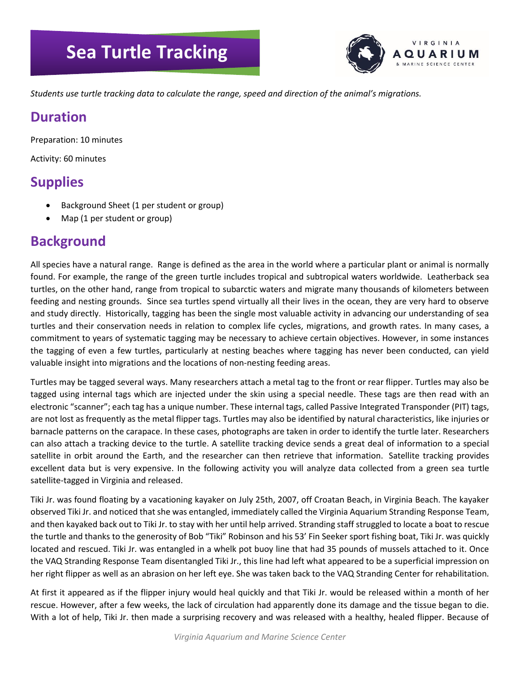# **Sea Turtle Tracking**



*Students use turtle tracking data to calculate the range, speed and direction of the animal's migrations.*

### **Duration**

Preparation: 10 minutes

Activity: 60 minutes

## **Supplies**

- Background Sheet (1 per student or group)
- Map (1 per student or group)

## **Background**

All species have a natural range. Range is defined as the area in the world where a particular plant or animal is normally found. For example, the range of the green turtle includes tropical and subtropical waters worldwide. Leatherback sea turtles, on the other hand, range from tropical to subarctic waters and migrate many thousands of kilometers between feeding and nesting grounds. Since sea turtles spend virtually all their lives in the ocean, they are very hard to observe and study directly. Historically, tagging has been the single most valuable activity in advancing our understanding of sea turtles and their conservation needs in relation to complex life cycles, migrations, and growth rates. In many cases, a commitment to years of systematic tagging may be necessary to achieve certain objectives. However, in some instances the tagging of even a few turtles, particularly at nesting beaches where tagging has never been conducted, can yield valuable insight into migrations and the locations of non-nesting feeding areas.

Turtles may be tagged several ways. Many researchers attach a metal tag to the front or rear flipper. Turtles may also be tagged using internal tags which are injected under the skin using a special needle. These tags are then read with an electronic "scanner"; each tag has a unique number. These internal tags, called Passive Integrated Transponder (PIT) tags, are not lost as frequently as the metal flipper tags. Turtles may also be identified by natural characteristics, like injuries or barnacle patterns on the carapace. In these cases, photographs are taken in order to identify the turtle later. Researchers can also attach a tracking device to the turtle. A satellite tracking device sends a great deal of information to a special satellite in orbit around the Earth, and the researcher can then retrieve that information. Satellite tracking provides excellent data but is very expensive. In the following activity you will analyze data collected from a green sea turtle satellite-tagged in Virginia and released.

Tiki Jr. was found floating by a vacationing kayaker on July 25th, 2007, off Croatan Beach, in Virginia Beach. The kayaker observed Tiki Jr. and noticed that she was entangled, immediately called the Virginia Aquarium Stranding Response Team, and then kayaked back out to Tiki Jr. to stay with her until help arrived. Stranding staff struggled to locate a boat to rescue the turtle and thanks to the generosity of Bob "Tiki" Robinson and his 53' Fin Seeker sport fishing boat, Tiki Jr. was quickly located and rescued. Tiki Jr. was entangled in a whelk pot buoy line that had 35 pounds of mussels attached to it. Once the VAQ Stranding Response Team disentangled Tiki Jr., this line had left what appeared to be a superficial impression on her right flipper as well as an abrasion on her left eye. She was taken back to the VAQ Stranding Center for rehabilitation.

At first it appeared as if the flipper injury would heal quickly and that Tiki Jr. would be released within a month of her rescue. However, after a few weeks, the lack of circulation had apparently done its damage and the tissue began to die. With a lot of help, Tiki Jr. then made a surprising recovery and was released with a healthy, healed flipper. Because of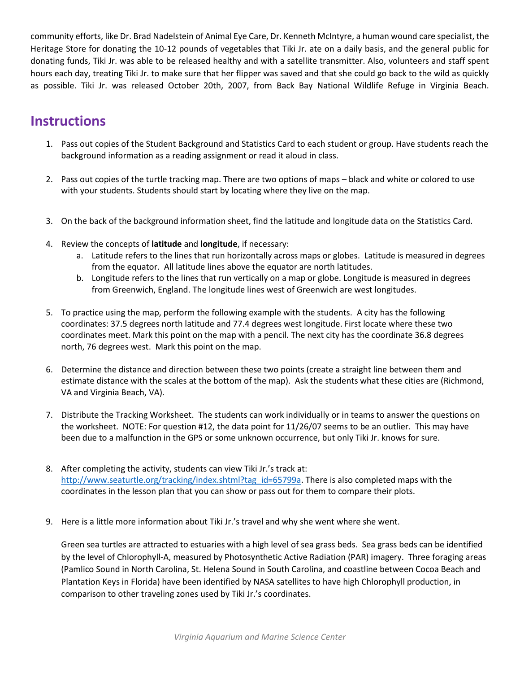community efforts, like Dr. Brad Nadelstein of Animal Eye Care, Dr. Kenneth McIntyre, a human wound care specialist, the Heritage Store for donating the 10-12 pounds of vegetables that Tiki Jr. ate on a daily basis, and the general public for donating funds, Tiki Jr. was able to be released healthy and with a satellite transmitter. Also, volunteers and staff spent hours each day, treating Tiki Jr. to make sure that her flipper was saved and that she could go back to the wild as quickly as possible. Tiki Jr. was released October 20th, 2007, from Back Bay National Wildlife Refuge in Virginia Beach.

## **Instructions**

- 1. Pass out copies of the Student Background and Statistics Card to each student or group. Have students reach the background information as a reading assignment or read it aloud in class.
- 2. Pass out copies of the turtle tracking map. There are two options of maps black and white or colored to use with your students. Students should start by locating where they live on the map.
- 3. On the back of the background information sheet, find the latitude and longitude data on the Statistics Card.
- 4. Review the concepts of **latitude** and **longitude**, if necessary:
	- a. Latitude refers to the lines that run horizontally across maps or globes. Latitude is measured in degrees from the equator. All latitude lines above the equator are north latitudes.
	- b. Longitude refers to the lines that run vertically on a map or globe. Longitude is measured in degrees from Greenwich, England. The longitude lines west of Greenwich are west longitudes.
- 5. To practice using the map, perform the following example with the students. A city has the following coordinates: 37.5 degrees north latitude and 77.4 degrees west longitude. First locate where these two coordinates meet. Mark this point on the map with a pencil. The next city has the coordinate 36.8 degrees north, 76 degrees west. Mark this point on the map.
- 6. Determine the distance and direction between these two points (create a straight line between them and estimate distance with the scales at the bottom of the map). Ask the students what these cities are (Richmond, VA and Virginia Beach, VA).
- 7. Distribute the Tracking Worksheet. The students can work individually or in teams to answer the questions on the worksheet. NOTE: For question #12, the data point for 11/26/07 seems to be an outlier. This may have been due to a malfunction in the GPS or some unknown occurrence, but only Tiki Jr. knows for sure.
- 8. After completing the activity, students can view Tiki Jr.'s track at: [http://www.seaturtle.org/tracking/index.shtml?tag\\_id=65799a.](http://www.seaturtle.org/tracking/index.shtml?tag_id=65799a) There is also completed maps with the coordinates in the lesson plan that you can show or pass out for them to compare their plots.
- 9. Here is a little more information about Tiki Jr.'s travel and why she went where she went.

Green sea turtles are attracted to estuaries with a high level of sea grass beds. Sea grass beds can be identified by the level of Chlorophyll-A, measured by Photosynthetic Active Radiation (PAR) imagery. Three foraging areas (Pamlico Sound in North Carolina, St. Helena Sound in South Carolina, and coastline between Cocoa Beach and Plantation Keys in Florida) have been identified by NASA satellites to have high Chlorophyll production, in comparison to other traveling zones used by Tiki Jr.'s coordinates.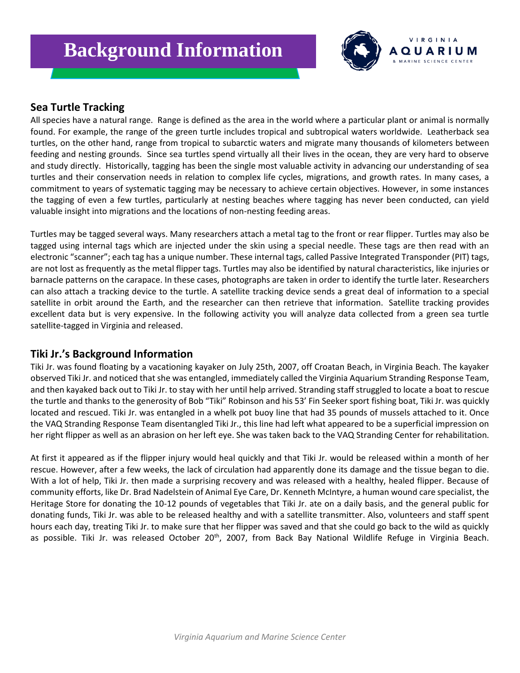

#### **Sea Turtle Tracking**

All species have a natural range. Range is defined as the area in the world where a particular plant or animal is normally found. For example, the range of the green turtle includes tropical and subtropical waters worldwide. Leatherback sea turtles, on the other hand, range from tropical to subarctic waters and migrate many thousands of kilometers between feeding and nesting grounds. Since sea turtles spend virtually all their lives in the ocean, they are very hard to observe and study directly. Historically, tagging has been the single most valuable activity in advancing our understanding of sea turtles and their conservation needs in relation to complex life cycles, migrations, and growth rates. In many cases, a commitment to years of systematic tagging may be necessary to achieve certain objectives. However, in some instances the tagging of even a few turtles, particularly at nesting beaches where tagging has never been conducted, can yield valuable insight into migrations and the locations of non-nesting feeding areas.

Turtles may be tagged several ways. Many researchers attach a metal tag to the front or rear flipper. Turtles may also be tagged using internal tags which are injected under the skin using a special needle. These tags are then read with an electronic "scanner"; each tag has a unique number. These internal tags, called Passive Integrated Transponder (PIT) tags, are not lost as frequently as the metal flipper tags. Turtles may also be identified by natural characteristics, like injuries or barnacle patterns on the carapace. In these cases, photographs are taken in order to identify the turtle later. Researchers can also attach a tracking device to the turtle. A satellite tracking device sends a great deal of information to a special satellite in orbit around the Earth, and the researcher can then retrieve that information. Satellite tracking provides excellent data but is very expensive. In the following activity you will analyze data collected from a green sea turtle satellite-tagged in Virginia and released.

#### **Tiki Jr.'s Background Information**

Tiki Jr. was found floating by a vacationing kayaker on July 25th, 2007, off Croatan Beach, in Virginia Beach. The kayaker observed Tiki Jr. and noticed that she was entangled, immediately called the Virginia Aquarium Stranding Response Team, and then kayaked back out to Tiki Jr. to stay with her until help arrived. Stranding staff struggled to locate a boat to rescue the turtle and thanks to the generosity of Bob "Tiki" Robinson and his 53' Fin Seeker sport fishing boat, Tiki Jr. was quickly located and rescued. Tiki Jr. was entangled in a whelk pot buoy line that had 35 pounds of mussels attached to it. Once the VAQ Stranding Response Team disentangled Tiki Jr., this line had left what appeared to be a superficial impression on her right flipper as well as an abrasion on her left eye. She was taken back to the VAQ Stranding Center for rehabilitation.

At first it appeared as if the flipper injury would heal quickly and that Tiki Jr. would be released within a month of her rescue. However, after a few weeks, the lack of circulation had apparently done its damage and the tissue began to die. With a lot of help, Tiki Jr. then made a surprising recovery and was released with a healthy, healed flipper. Because of community efforts, like Dr. Brad Nadelstein of Animal Eye Care, Dr. Kenneth McIntyre, a human wound care specialist, the Heritage Store for donating the 10-12 pounds of vegetables that Tiki Jr. ate on a daily basis, and the general public for donating funds, Tiki Jr. was able to be released healthy and with a satellite transmitter. Also, volunteers and staff spent hours each day, treating Tiki Jr. to make sure that her flipper was saved and that she could go back to the wild as quickly as possible. Tiki Jr. was released October 20<sup>th</sup>, 2007, from Back Bay National Wildlife Refuge in Virginia Beach.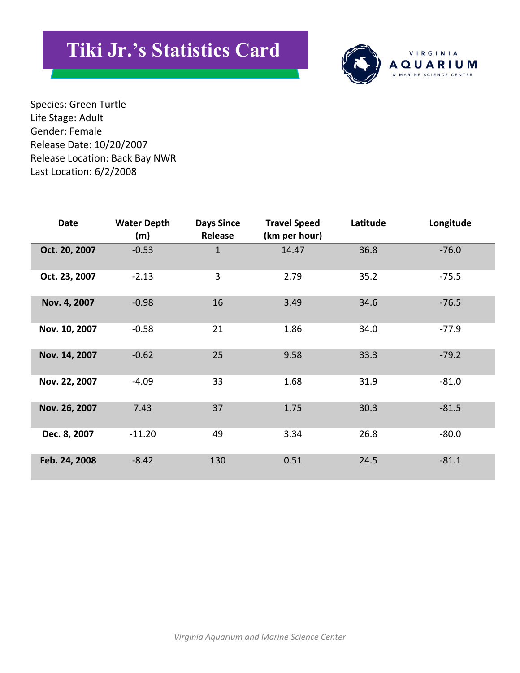# **Tiki Jr.'s Statistics Card**



Species: Green Turtle Life Stage: Adult Gender: Female Release Date: 10/20/2007 Release Location: Back Bay NWR Last Location: 6/2/2008

| Date          | <b>Water Depth</b><br>(m) | <b>Days Since</b><br>Release | <b>Travel Speed</b><br>(km per hour) | Latitude | Longitude |
|---------------|---------------------------|------------------------------|--------------------------------------|----------|-----------|
| Oct. 20, 2007 | $-0.53$                   | 1                            | 14.47                                | 36.8     | $-76.0$   |
| Oct. 23, 2007 | $-2.13$                   | 3                            | 2.79                                 | 35.2     | $-75.5$   |
| Nov. 4, 2007  | $-0.98$                   | 16                           | 3.49                                 | 34.6     | $-76.5$   |
| Nov. 10, 2007 | $-0.58$                   | 21                           | 1.86                                 | 34.0     | $-77.9$   |
| Nov. 14, 2007 | $-0.62$                   | 25                           | 9.58                                 | 33.3     | $-79.2$   |
| Nov. 22, 2007 | $-4.09$                   | 33                           | 1.68                                 | 31.9     | $-81.0$   |
| Nov. 26, 2007 | 7.43                      | 37                           | 1.75                                 | 30.3     | $-81.5$   |
| Dec. 8, 2007  | $-11.20$                  | 49                           | 3.34                                 | 26.8     | $-80.0$   |
| Feb. 24, 2008 | $-8.42$                   | 130                          | 0.51                                 | 24.5     | $-81.1$   |